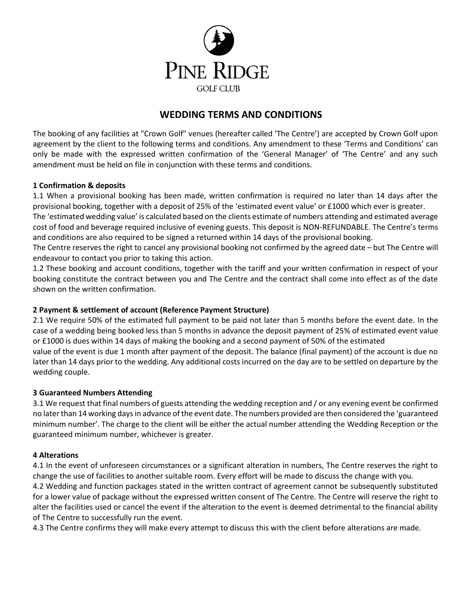

# **WEDDING TERMS AND CONDITIONS**

The booking of any facilities at "Crown Golf" venues (hereafter called 'The Centre') are accepted by Crown Golf upon agreement by the client to the following terms and conditions. Any amendment to these 'Terms and Conditions' can only be made with the expressed written confirmation of the 'General Manager' of 'The Centre' and any such amendment must be held on file in conjunction with these terms and conditions.

## **1 Confirmation & deposits**

1.1 When a provisional booking has been made, written confirmation is required no later than 14 days after the provisional booking, together with a deposit of 25% of the 'estimated event value' or £1000 which ever is greater.

The 'estimated wedding value' is calculated based on the clients estimate of numbers attending and estimated average cost of food and beverage required inclusive of evening guests. This deposit is NON-REFUNDABLE. The Centre's terms and conditions are also required to be signed a returned within 14 days of the provisional booking.

The Centre reserves the right to cancel any provisional booking not confirmed by the agreed date – but The Centre will endeavour to contact you prior to taking this action.

1.2 These booking and account conditions, together with the tariff and your written confirmation in respect of your booking constitute the contract between you and The Centre and the contract shall come into effect as of the date shown on the written confirmation.

# **2 Payment & settlement of account (Reference Payment Structure)**

2.1 We require 50% of the estimated full payment to be paid not later than 5 months before the event date. In the case of a wedding being booked less than 5 months in advance the deposit payment of 25% of estimated event value or £1000 is dues within 14 days of making the booking and a second payment of 50% of the estimated value of the event is due 1 month after payment of the deposit. The balance (final payment) of the account is due no later than 14 days prior to the wedding. Any additional costs incurred on the day are to be settled on departure by the wedding couple.

#### **3 Guaranteed Numbers Attending**

3.1 We request that final numbers of guests attending the wedding reception and / or any evening event be confirmed no later than 14 working days in advance of the event date. The numbers provided are then considered the 'guaranteed minimum number'. The charge to the client will be either the actual number attending the Wedding Reception or the guaranteed minimum number, whichever is greater.

#### **4 Alterations**

4.1 In the event of unforeseen circumstances or a significant alteration in numbers, The Centre reserves the right to change the use of facilities to another suitable room. Every effort will be made to discuss the change with you.

4.2 Wedding and function packages stated in the written contract of agreement cannot be subsequently substituted for a lower value of package without the expressed written consent of The Centre. The Centre will reserve the right to alter the facilities used or cancel the event if the alteration to the event is deemed detrimental to the financial ability of The Centre to successfully run the event.

4.3 The Centre confirms they will make every attempt to discuss this with the client before alterations are made.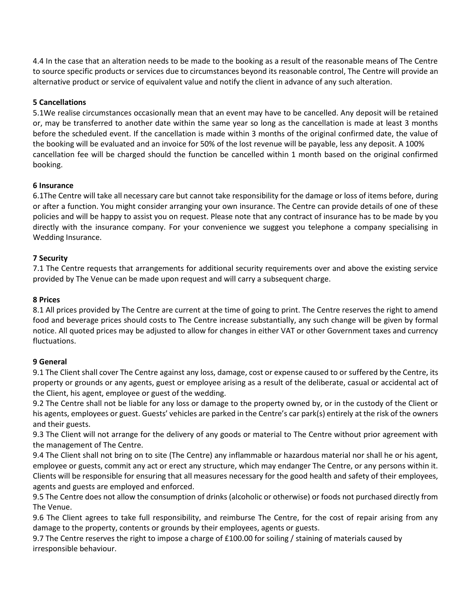4.4 In the case that an alteration needs to be made to the booking as a result of the reasonable means of The Centre to source specific products or services due to circumstances beyond its reasonable control, The Centre will provide an alternative product or service of equivalent value and notify the client in advance of any such alteration.

# **5 Cancellations**

5.1We realise circumstances occasionally mean that an event may have to be cancelled. Any deposit will be retained or, may be transferred to another date within the same year so long as the cancellation is made at least 3 months before the scheduled event. If the cancellation is made within 3 months of the original confirmed date, the value of the booking will be evaluated and an invoice for 50% of the lost revenue will be payable, less any deposit. A 100% cancellation fee will be charged should the function be cancelled within 1 month based on the original confirmed booking.

## **6 Insurance**

6.1The Centre will take all necessary care but cannot take responsibility for the damage or loss of items before, during or after a function. You might consider arranging your own insurance. The Centre can provide details of one of these policies and will be happy to assist you on request. Please note that any contract of insurance has to be made by you directly with the insurance company. For your convenience we suggest you telephone a company specialising in Wedding Insurance.

## **7 Security**

7.1 The Centre requests that arrangements for additional security requirements over and above the existing service provided by The Venue can be made upon request and will carry a subsequent charge.

## **8 Prices**

8.1 All prices provided by The Centre are current at the time of going to print. The Centre reserves the right to amend food and beverage prices should costs to The Centre increase substantially, any such change will be given by formal notice. All quoted prices may be adjusted to allow for changes in either VAT or other Government taxes and currency fluctuations.

# **9 General**

9.1 The Client shall cover The Centre against any loss, damage, cost or expense caused to or suffered by the Centre, its property or grounds or any agents, guest or employee arising as a result of the deliberate, casual or accidental act of the Client, his agent, employee or guest of the wedding.

9.2 The Centre shall not be liable for any loss or damage to the property owned by, or in the custody of the Client or his agents, employees or guest. Guests' vehicles are parked in the Centre's car park(s) entirely at the risk of the owners and their guests.

9.3 The Client will not arrange for the delivery of any goods or material to The Centre without prior agreement with the management of The Centre.

9.4 The Client shall not bring on to site (The Centre) any inflammable or hazardous material nor shall he or his agent, employee or guests, commit any act or erect any structure, which may endanger The Centre, or any persons within it. Clients will be responsible for ensuring that all measures necessary for the good health and safety of their employees, agents and guests are employed and enforced.

9.5 The Centre does not allow the consumption of drinks (alcoholic or otherwise) or foods not purchased directly from The Venue.

9.6 The Client agrees to take full responsibility, and reimburse The Centre, for the cost of repair arising from any damage to the property, contents or grounds by their employees, agents or guests.

9.7 The Centre reserves the right to impose a charge of £100.00 for soiling / staining of materials caused by irresponsible behaviour.